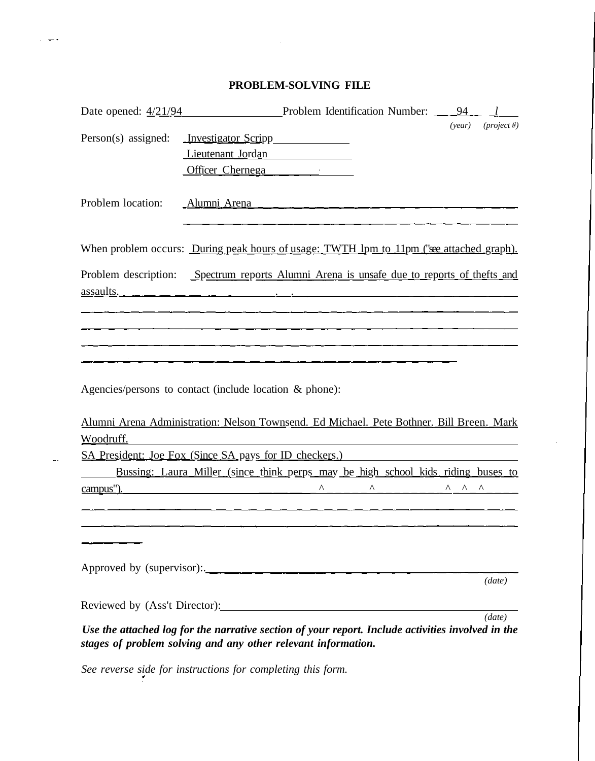## **PROBLEM-SOLVING FILE**

 $\sim 10^7$ 

 $\tau = \frac{1}{2} \frac{1}{2} \frac{1}{2} \frac{1}{2}$ 

 $\sim$ 

 $\bar{z}$ 

| Date opened: $\frac{4}{21/94}$ | Problem Identification Number:                                                                    | 94                     |               |
|--------------------------------|---------------------------------------------------------------------------------------------------|------------------------|---------------|
|                                |                                                                                                   | (year)                 | $(project #)$ |
| Person(s) assigned:            | <u>Investigator Scripp</u>                                                                        |                        |               |
|                                | Lieutenant Jordan                                                                                 |                        |               |
|                                | Officer Chernega                                                                                  |                        |               |
|                                |                                                                                                   |                        |               |
| Problem location:              |                                                                                                   |                        |               |
|                                |                                                                                                   |                        |               |
|                                | When problem occurs: <u>During peak hours of usage: TWTH lpm to 11pm ("see attached graph).</u>   |                        |               |
|                                | Problem description: Spectrum reports Alumni Arena is unsafe due to reports of thefts and         |                        |               |
|                                | assaults.                                                                                         |                        |               |
|                                |                                                                                                   |                        |               |
|                                |                                                                                                   |                        |               |
|                                |                                                                                                   |                        |               |
|                                |                                                                                                   |                        |               |
|                                |                                                                                                   |                        |               |
|                                | Agencies/persons to contact (include location & phone):                                           |                        |               |
|                                |                                                                                                   |                        |               |
|                                | Alumni Arena Administration: Nelson Townsend. Ed Michael. Pete Bothner. Bill Breen. Mark          |                        |               |
| Woodruff.                      |                                                                                                   |                        |               |
|                                | SA President: Joe Fox (Since SA pays for ID checkers.)                                            |                        |               |
|                                | <u>Bussing: Laura Miller (since think perps may be high school kids riding buses to</u>           |                        |               |
| campus").                      | Λ<br>Λ                                                                                            | Λ<br>$\wedge$ $\wedge$ |               |
|                                |                                                                                                   |                        |               |
|                                |                                                                                                   |                        |               |
|                                |                                                                                                   |                        |               |
|                                |                                                                                                   |                        |               |
|                                | Approved by (supervisor):                                                                         |                        | (data)        |
|                                |                                                                                                   |                        |               |
|                                | Reviewed by (Ass't Director):                                                                     |                        |               |
|                                | Use the attached log for the narrative section of your report. Include activities involved in the |                        | (data)        |
|                                | stages of problem solving and any other relevant information.                                     |                        |               |

*See reverse side for instructions for completing this form.*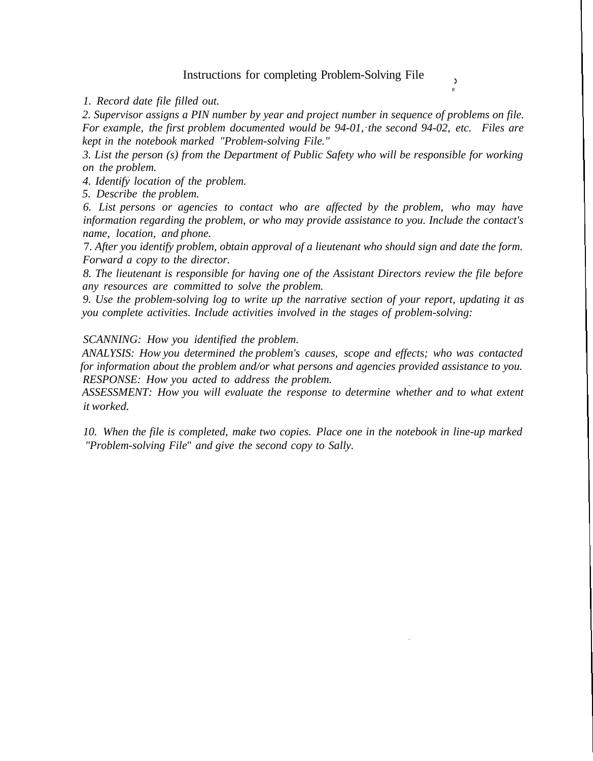## Instructions for completing Problem-Solving File

**>** ft

*1. Record date file filled out.*

*2. Supervisor assigns a PIN number by year and project number in sequence of problems on file. For example, the first problem documented would be 94-01, the second 94-02, etc. Files are kept in the notebook marked "Problem-solving File."*

*3. List the person (s) from the Department of Public Safety who will be responsible for working on the problem.*

*4. Identify location of the problem.*

*5. Describe the problem.*

*6. List persons or agencies to contact who are affected by the problem, who may have information regarding the problem, or who may provide assistance to you. Include the contact's name, location, and phone.*

7. *After you identify problem, obtain approval of a lieutenant who should sign and date the form. Forward a copy to the director.*

*8. The lieutenant is responsible for having one of the Assistant Directors review the file before any resources are committed to solve the problem.*

*9. Use the problem-solving log to write up the narrative section of your report, updating it as you complete activities. Include activities involved in the stages of problem-solving:*

*SCANNING: How you identified the problem.*

*ANALYSIS: How you determined the problem's causes, scope and effects; who was contacted for information about the problem and/or what persons and agencies provided assistance to you. RESPONSE: How you acted to address the problem.*

*ASSESSMENT: How you will evaluate the response to determine whether and to what extent it worked.*

*10. When the file is completed, make two copies. Place one in the notebook in line-up marked "Problem-solving File*" *and give the second copy to Sally.*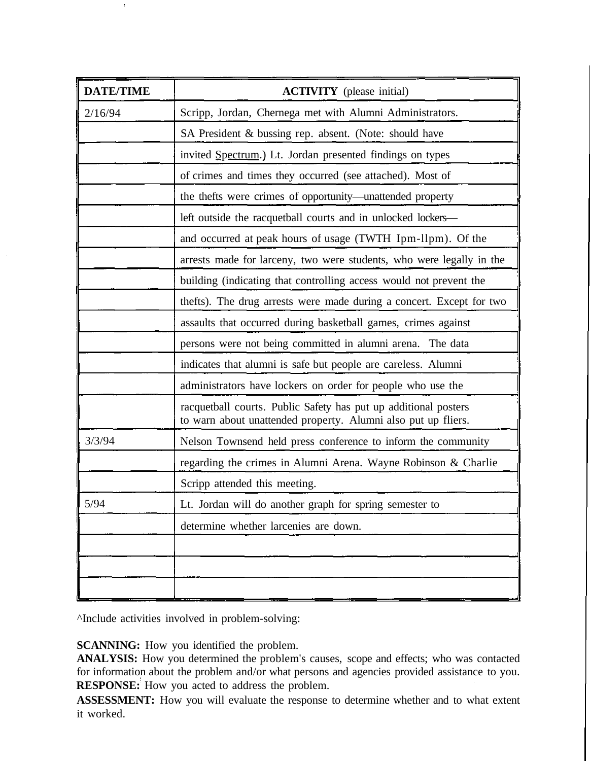| <b>DATE/TIME</b> | <b>ACTIVITY</b> (please initial)                                                                                                 |
|------------------|----------------------------------------------------------------------------------------------------------------------------------|
| 2/16/94          | Scripp, Jordan, Chernega met with Alumni Administrators.                                                                         |
|                  | SA President & bussing rep. absent. (Note: should have                                                                           |
|                  | invited Spectrum.) Lt. Jordan presented findings on types                                                                        |
|                  | of crimes and times they occurred (see attached). Most of                                                                        |
|                  | the thefts were crimes of opportunity-unattended property                                                                        |
|                  | left outside the racquetball courts and in unlocked lockers-                                                                     |
|                  | and occurred at peak hours of usage (TWTH Ipm-llpm). Of the                                                                      |
|                  | arrests made for larceny, two were students, who were legally in the                                                             |
|                  | building (indicating that controlling access would not prevent the                                                               |
|                  | thefts). The drug arrests were made during a concert. Except for two                                                             |
|                  | assaults that occurred during basketball games, crimes against                                                                   |
|                  | persons were not being committed in alumni arena. The data                                                                       |
|                  | indicates that alumni is safe but people are careless. Alumni                                                                    |
|                  | administrators have lockers on order for people who use the                                                                      |
|                  | racquetball courts. Public Safety has put up additional posters<br>to warn about unattended property. Alumni also put up fliers. |
| 3/3/94           | Nelson Townsend held press conference to inform the community                                                                    |
|                  | regarding the crimes in Alumni Arena. Wayne Robinson & Charlie                                                                   |
|                  | Scripp attended this meeting.                                                                                                    |
| 5/94             | Lt. Jordan will do another graph for spring semester to                                                                          |
|                  | determine whether larcenies are down.                                                                                            |
|                  |                                                                                                                                  |
|                  |                                                                                                                                  |
|                  |                                                                                                                                  |

^Include activities involved in problem-solving:

 $\bar{t}$ 

**SCANNING:** How you identified the problem.

**ANALYSIS:** How you determined the problem's causes, scope and effects; who was contacted for information about the problem and/or what persons and agencies provided assistance to you. **RESPONSE:** How you acted to address the problem.

**ASSESSMENT:** How you will evaluate the response to determine whether and to what extent it worked.